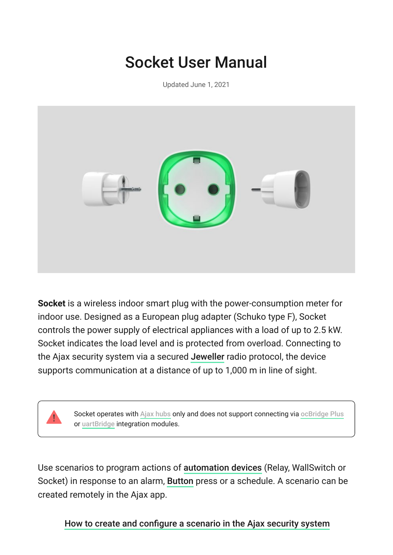# Socket User Manual

Updated June 1, 2021



**Socket** is a wireless indoor smart plug with the power-consumption meter for indoor use. Designed as a European plug adapter (Schuko type F), Socket controls the power supply of electrical appliances with a load of up to 2.5 kW. Socket indicates the load level and is protected from overload. Connecting to theAjax security system via a secured Jeweller radio protocol, the device supports communication at a distance of up to 1,000 m in line of sight.

> Socketoperates with Ajax hubs only and does not support connecting via [ocBridge Plus](https://ajax.systems/products/ocbridgeplus/) or uartBridge integration modules.

Usescenarios to program actions of automation devices (Relay, WallSwitch or Socket)in response to an alarm, Button press or a schedule. A scenario can be created remotely in the Ajax app.

[How to create and configure a scenario in the Ajax security system](https://support.ajax.systems/en/manuals/scenarios/)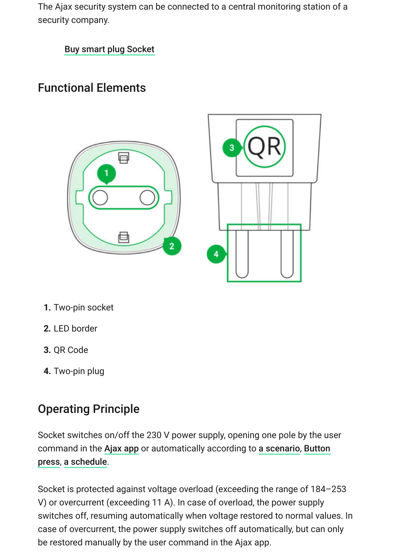The Ajax security system can be connected to a central monitoring station of a security company.

[Buy smart plug Socket](https://ajax.systems/products/socket/)

#### Functional Elements





- **1.** Two-pin socket
- **2.** LED border
- **3.** QR Code
- **4.** Two-pin plug

## Operating Principle

Socket switches on/off the 230 V power supply, opening one pole by the user command in the Ajax app or automatically according to a scenario, Button press, a schedule.

Socket is protected against voltage overload (exceeding the range of 184–253 V) or overcurrent (exceeding 11 A). In case of overload, the power supply switches off, resuming automatically when voltage restored to normal values. In case of overcurrent, the power supply switches off automatically, but can only be restored manually by the user command in the Ajax app.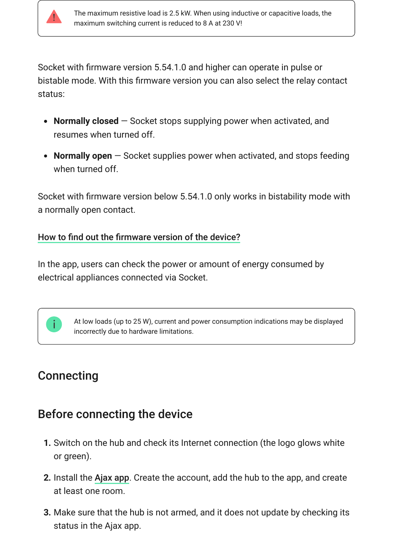

Socket with firmware version 5.54.1.0 and higher can operate in pulse or bistable mode. With this firmware version you can also select the relay contact status:

- **Normally closed** Socket stops supplying power when activated, and resumes when turned off.
- **Normally open** Socket supplies power when activated, and stops feeding when turned off.

Socket with firmware version below 5.54.1.0 only works in bistability mode with a normally open contact.

#### [How to find out the firmware version of the device?](https://support.ajax.systems/en/faqs/device-firmware-version/)

In the app, users can check the power or amount of energy consumed by electrical appliances connected via Socket.



#### **Connecting**

#### Before connecting the device

- **1.** Switch on the hub and check its Internet connection (the logo glows white or green).
- **2.** Install the Ajax app. Create the account, add the hub to the app, and create at least one room.
- **3.** Make sure that the hub is not armed, and it does not update by checking its status in the Ajax app.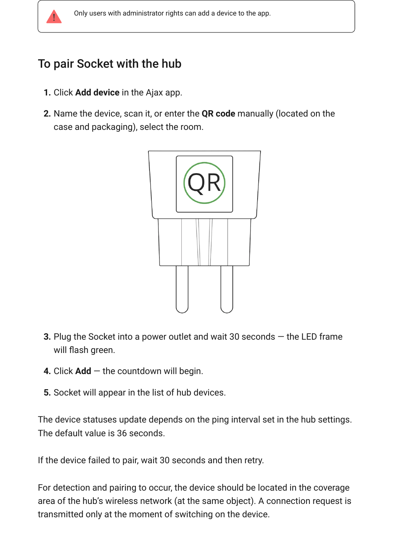

#### To pair Socket with the hub

- **1.** Click **Add device** in the Ajax app.
- **2.** Name the device, scan it, or enter the **QR code** manually (located on the case and packaging), select the room.



- **3.** Plug the Socket into a power outlet and wait 30 seconds the LED frame will flash green.
- **4.** Click **Add** the countdown will begin.
- **5.** Socket will appear in the list of hub devices.

The device statuses update depends on the ping interval set in the hub settings. The default value is 36 seconds.

If the device failed to pair, wait 30 seconds and then retry.

For detection and pairing to occur, the device should be located in the coverage area of the hub's wireless network (at the same object). A connection request is transmitted only at the moment of switching on the device.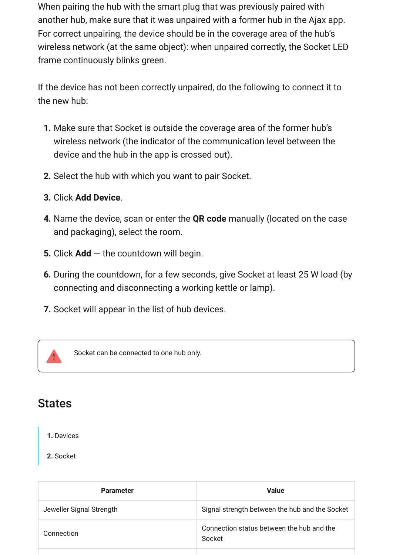When pairing the hub with the smart plug that was previously paired with another hub, make sure that it was unpaired with a former hub in the Ajax app. For correct unpairing, the device should be in the coverage area of the hub's wireless network (at the same object): when unpaired correctly, the Socket LED frame continuously blinks green.

If the device has not been correctly unpaired, do the following to connect it to the new hub:

- **1.** Make sure that Socket is outside the coverage area of the former hub's wireless network (the indicator of the communication level between the device and the hub in the app is crossed out).
- **2.** Select the hub with which you want to pair Socket.
- **3.** Click **Add Device**.
- **4.** Name the device, scan or enter the **QR code** manually (located on the case and packaging), select the room.
- **5.** Click **Add** the countdown will begin.
- **6.** During the countdown, for a few seconds, give Socket at least 25 W load (by connecting and disconnecting a working kettle or lamp).
- **7.** Socket will appear in the list of hub devices.



Socket can be connected to one hub only.

#### **States**

**1.** Devices

#### **2.** Socket

| <b>Parameter</b>         | <b>Value</b>                                        |
|--------------------------|-----------------------------------------------------|
| Jeweller Signal Strength | Signal strength between the hub and the Socket      |
| Connection               | Connection status between the hub and the<br>Socket |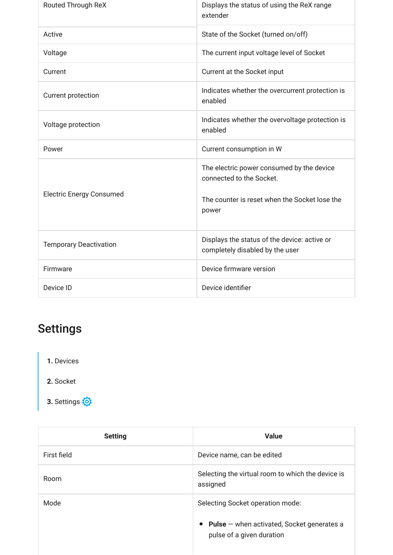| <b>Routed Through ReX</b>       | Displays the status of using the ReX range<br>extender                                                                          |
|---------------------------------|---------------------------------------------------------------------------------------------------------------------------------|
| Active                          | State of the Socket (turned on/off)                                                                                             |
| Voltage                         | The current input voltage level of Socket                                                                                       |
| Current                         | Current at the Socket input                                                                                                     |
| <b>Current protection</b>       | Indicates whether the overcurrent protection is<br>enabled                                                                      |
| Voltage protection              | Indicates whether the overvoltage protection is<br>enabled                                                                      |
| Power                           | Current consumption in W                                                                                                        |
| <b>Electric Energy Consumed</b> | The electric power consumed by the device<br>connected to the Socket.<br>The counter is reset when the Socket lose the<br>power |
| <b>Temporary Deactivation</b>   | Displays the status of the device: active or<br>completely disabled by the user                                                 |
| Firmware                        | Device firmware version                                                                                                         |
| Device ID                       | Device identifier                                                                                                               |

# **Settings**

- **1.** Devices
- **2.** Socket
- **3.** Settings

| <b>Setting</b> | <b>Value</b>                                                                |
|----------------|-----------------------------------------------------------------------------|
| First field    | Device name, can be edited                                                  |
| Room           | Selecting the virtual room to which the device is<br>assigned               |
| Mode           | Selecting Socket operation mode:                                            |
|                | • Pulse $-$ when activated, Socket generates a<br>pulse of a given duration |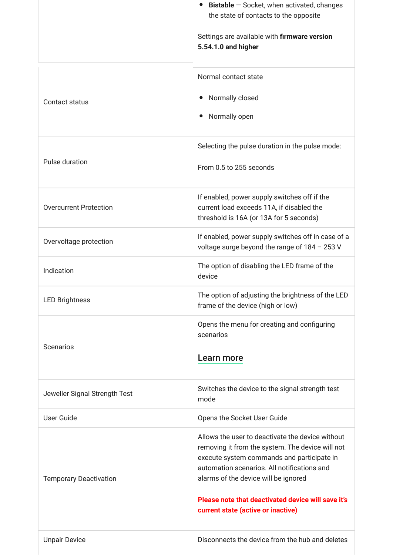|                               | <b>Bistable</b> $-$ Socket, when activated, changes<br>$\bullet$<br>the state of contacts to the opposite                                                                                                                                 |
|-------------------------------|-------------------------------------------------------------------------------------------------------------------------------------------------------------------------------------------------------------------------------------------|
|                               | Settings are available with firmware version<br>5.54.1.0 and higher                                                                                                                                                                       |
|                               | Normal contact state                                                                                                                                                                                                                      |
| Contact status                | Normally closed                                                                                                                                                                                                                           |
|                               | Normally open                                                                                                                                                                                                                             |
|                               | Selecting the pulse duration in the pulse mode:                                                                                                                                                                                           |
| Pulse duration                | From 0.5 to 255 seconds                                                                                                                                                                                                                   |
| <b>Overcurrent Protection</b> | If enabled, power supply switches off if the<br>current load exceeds 11A, if disabled the                                                                                                                                                 |
|                               | threshold is 16A (or 13A for 5 seconds)                                                                                                                                                                                                   |
| Overvoltage protection        | If enabled, power supply switches off in case of a<br>voltage surge beyond the range of 184 - 253 V                                                                                                                                       |
| Indication                    | The option of disabling the LED frame of the<br>device                                                                                                                                                                                    |
| <b>LED Brightness</b>         | The option of adjusting the brightness of the LED<br>frame of the device (high or low)                                                                                                                                                    |
| <b>Scenarios</b>              | Opens the menu for creating and configuring<br>scenarios                                                                                                                                                                                  |
|                               | Learn more                                                                                                                                                                                                                                |
| Jeweller Signal Strength Test | Switches the device to the signal strength test<br>mode                                                                                                                                                                                   |
| <b>User Guide</b>             | Opens the Socket User Guide                                                                                                                                                                                                               |
| <b>Temporary Deactivation</b> | Allows the user to deactivate the device without<br>removing it from the system. The device will not<br>execute system commands and participate in<br>automation scenarios. All notifications and<br>alarms of the device will be ignored |
|                               | Please note that deactivated device will save it's<br>current state (active or inactive)                                                                                                                                                  |
| <b>Unpair Device</b>          | Disconnects the device from the hub and deletes                                                                                                                                                                                           |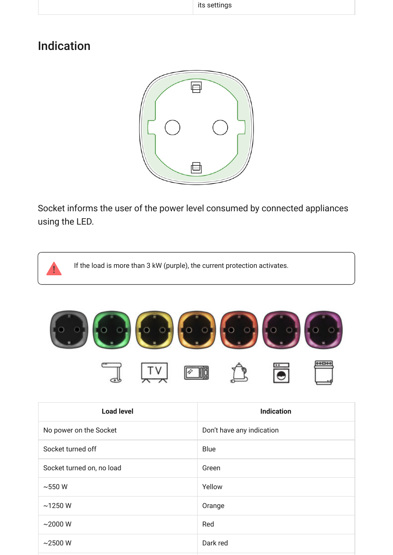#### Indication



Socket informs the user of the power level consumed by connected appliances using the LED.

If the load is more than 3 kW (purple), the current protection activates.  $00000$ Ø

| <b>Load level</b>         | <b>Indication</b>         |
|---------------------------|---------------------------|
| No power on the Socket    | Don't have any indication |
| Socket turned off         | <b>Blue</b>               |
| Socket turned on, no load | Green                     |
| $\sim$ 550 W              | Yellow                    |
| ~1250 W                   | Orange                    |
| $~2000 \text{ W}$         | Red                       |
| $~2500$ W                 | Dark red                  |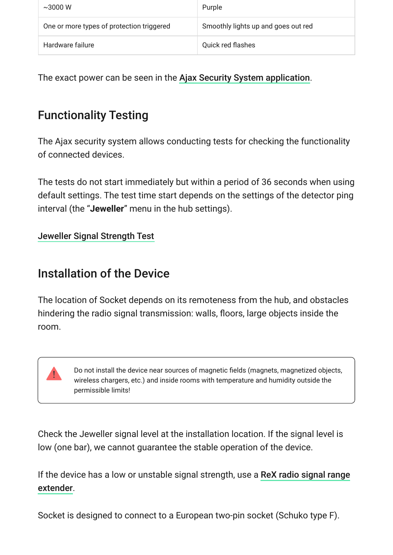| $\sim$ 3000 W                             | Purple                              |
|-------------------------------------------|-------------------------------------|
| One or more types of protection triggered | Smoothly lights up and goes out red |
| Hardware failure                          | <b>Quick red flashes</b>            |

The exact power can be seen in the Ajax Security System application[.](https://ajax.systems/software/)

# Functionality Testing

The Ajax security system allows conducting tests for checking the functionality of connected devices.

The tests do not start immediately but within a period of 36 seconds when using default settings. The test time start depends on the settings of the detector ping interval (the "**Jeweller**" menu in the hub settings).

[Jeweller Signal Strength Test](https://support.ajax.systems/en/what-is-signal-strenght-test/)

#### Installation of the Device

The location of Socket depends on its remoteness from the hub, and obstacles hindering the radio signal transmission: walls, floors, large objects inside the room.



Do not install the device near sources of magnetic fields (magnets, magnetized objects, wireless chargers, etc.) and inside rooms with temperature and humidity outside the permissible limits!

Check the Jeweller signal level at the installation location. If the signal level is low (one bar), we cannot guarantee the stable operation of the device.

[If the device has a low or unstable signal strength, use a](https://ajax.systems/products/rex/) ReX radio signal range . extender

Socket is designed to connect to a European two-pin socket (Schuko type F).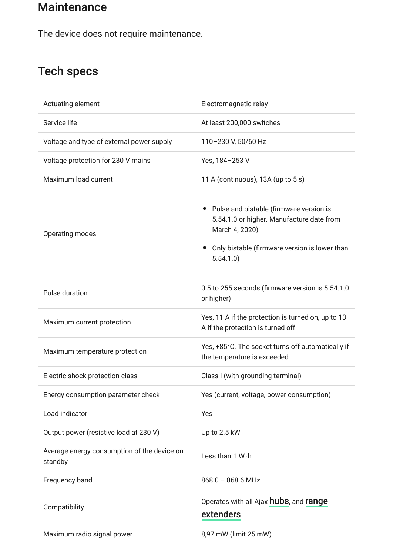#### **Maintenance**

The device does not require maintenance.

## Tech specs

| Actuating element                                      | Electromagnetic relay                                                                                                                                                 |
|--------------------------------------------------------|-----------------------------------------------------------------------------------------------------------------------------------------------------------------------|
| Service life                                           | At least 200,000 switches                                                                                                                                             |
| Voltage and type of external power supply              | 110-230 V, 50/60 Hz                                                                                                                                                   |
| Voltage protection for 230 V mains                     | Yes, 184-253 V                                                                                                                                                        |
| Maximum load current                                   | 11 A (continuous), 13A (up to 5 s)                                                                                                                                    |
| Operating modes                                        | • Pulse and bistable (firmware version is<br>5.54.1.0 or higher. Manufacture date from<br>March 4, 2020)<br>Only bistable (firmware version is lower than<br>5.54.1.0 |
| Pulse duration                                         | 0.5 to 255 seconds (firmware version is 5.54.1.0<br>or higher)                                                                                                        |
| Maximum current protection                             | Yes, 11 A if the protection is turned on, up to 13<br>A if the protection is turned off                                                                               |
| Maximum temperature protection                         | Yes, +85°C. The socket turns off automatically if<br>the temperature is exceeded                                                                                      |
| Electric shock protection class                        | Class I (with grounding terminal)                                                                                                                                     |
| Energy consumption parameter check                     | Yes (current, voltage, power consumption)                                                                                                                             |
| Load indicator                                         | Yes                                                                                                                                                                   |
| Output power (resistive load at 230 V)                 | Up to 2.5 kW                                                                                                                                                          |
| Average energy consumption of the device on<br>standby | Less than 1 W · h                                                                                                                                                     |
| Frequency band                                         | $868.0 - 868.6$ MHz                                                                                                                                                   |
| Compatibility                                          | Operates with all Ajax <b>hubs</b> , and <b>range</b><br>extenders                                                                                                    |
| Maximum radio signal power                             | 8,97 mW (limit 25 mW)                                                                                                                                                 |
|                                                        |                                                                                                                                                                       |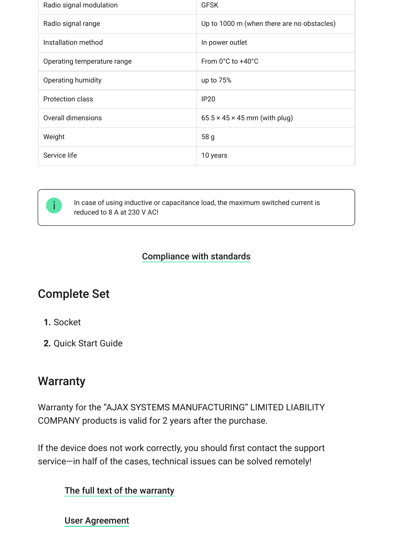| Radio signal modulation     | <b>GFSK</b>                                |
|-----------------------------|--------------------------------------------|
| Radio signal range          | Up to 1000 m (when there are no obstacles) |
| Installation method         | In power outlet                            |
| Operating temperature range | From 0°C to +40°C                          |
| Operating humidity          | up to $75%$                                |
| <b>Protection class</b>     | <b>IP20</b>                                |
| Overall dimensions          | $65.5 \times 45 \times 45$ mm (with plug)  |
| Weight                      | 58 <sub>g</sub>                            |
| Service life                | 10 years                                   |



In case of using inductive or capacitance load, the maximum switched current is reduced to 8 A at 230 V AC!

#### [Compliance with standards](https://ajax.systems/standards/)

#### Complete Set

- **1.** Socket
- **2.** Quick Start Guide

#### **Warranty**

Warranty for the "AJAX SYSTEMS MANUFACTURING" LIMITED LIABILITY COMPANY products is valid for 2 years after the purchase.

If the device does not work correctly, you should first contact the support service—in half of the cases, technical issues can be solved remotely!

#### [The full text of the warranty](http://ajax.systems/warranty)

[User Agreement](http://ajax.systems/end-user-agreement)